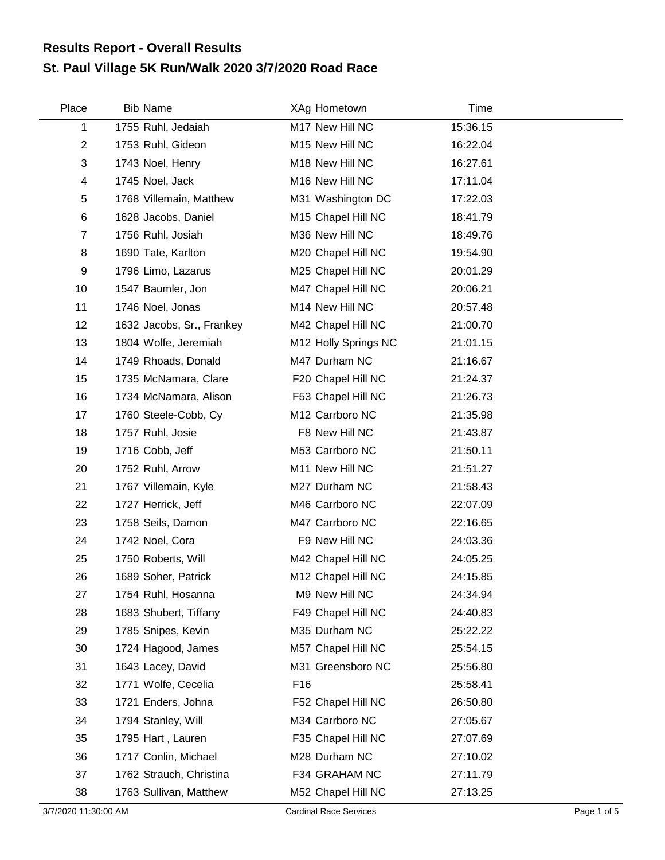## **St. Paul Village 5K Run/Walk 2020 3/7/2020 Road Race Results Report - Overall Results**

| Place          | <b>Bib Name</b>           | XAg Hometown         | Time     |  |
|----------------|---------------------------|----------------------|----------|--|
| 1              | 1755 Ruhl, Jedaiah        | M17 New Hill NC      | 15:36.15 |  |
| $\overline{2}$ | 1753 Ruhl, Gideon         | M15 New Hill NC      | 16:22.04 |  |
| 3              | 1743 Noel, Henry          | M18 New Hill NC      | 16:27.61 |  |
| 4              | 1745 Noel, Jack           | M16 New Hill NC      | 17:11.04 |  |
| 5              | 1768 Villemain, Matthew   | M31 Washington DC    | 17:22.03 |  |
| 6              | 1628 Jacobs, Daniel       | M15 Chapel Hill NC   | 18:41.79 |  |
| $\overline{7}$ | 1756 Ruhl, Josiah         | M36 New Hill NC      | 18:49.76 |  |
| 8              | 1690 Tate, Karlton        | M20 Chapel Hill NC   | 19:54.90 |  |
| 9              | 1796 Limo, Lazarus        | M25 Chapel Hill NC   | 20:01.29 |  |
| 10             | 1547 Baumler, Jon         | M47 Chapel Hill NC   | 20:06.21 |  |
| 11             | 1746 Noel, Jonas          | M14 New Hill NC      | 20:57.48 |  |
| 12             | 1632 Jacobs, Sr., Frankey | M42 Chapel Hill NC   | 21:00.70 |  |
| 13             | 1804 Wolfe, Jeremiah      | M12 Holly Springs NC | 21:01.15 |  |
| 14             | 1749 Rhoads, Donald       | M47 Durham NC        | 21:16.67 |  |
| 15             | 1735 McNamara, Clare      | F20 Chapel Hill NC   | 21:24.37 |  |
| 16             | 1734 McNamara, Alison     | F53 Chapel Hill NC   | 21:26.73 |  |
| 17             | 1760 Steele-Cobb, Cy      | M12 Carrboro NC      | 21:35.98 |  |
| 18             | 1757 Ruhl, Josie          | F8 New Hill NC       | 21:43.87 |  |
| 19             | 1716 Cobb, Jeff           | M53 Carrboro NC      | 21:50.11 |  |
| 20             | 1752 Ruhl, Arrow          | M11 New Hill NC      | 21:51.27 |  |
| 21             | 1767 Villemain, Kyle      | M27 Durham NC        | 21:58.43 |  |
| 22             | 1727 Herrick, Jeff        | M46 Carrboro NC      | 22:07.09 |  |
| 23             | 1758 Seils, Damon         | M47 Carrboro NC      | 22:16.65 |  |
| 24             | 1742 Noel, Cora           | F9 New Hill NC       | 24:03.36 |  |
| 25             | 1750 Roberts, Will        | M42 Chapel Hill NC   | 24:05.25 |  |
| 26             | 1689 Soher, Patrick       | M12 Chapel Hill NC   | 24:15.85 |  |
| 27             | 1754 Ruhl, Hosanna        | M9 New Hill NC       | 24:34.94 |  |
| 28             | 1683 Shubert, Tiffany     | F49 Chapel Hill NC   | 24:40.83 |  |
| 29             | 1785 Snipes, Kevin        | M35 Durham NC        | 25:22.22 |  |
| 30             | 1724 Hagood, James        | M57 Chapel Hill NC   | 25:54.15 |  |
| 31             | 1643 Lacey, David         | M31 Greensboro NC    | 25:56.80 |  |
| 32             | 1771 Wolfe, Cecelia       | F <sub>16</sub>      | 25:58.41 |  |
| 33             | 1721 Enders, Johna        | F52 Chapel Hill NC   | 26:50.80 |  |
| 34             | 1794 Stanley, Will        | M34 Carrboro NC      | 27:05.67 |  |
| 35             | 1795 Hart, Lauren         | F35 Chapel Hill NC   | 27:07.69 |  |
| 36             | 1717 Conlin, Michael      | M28 Durham NC        | 27:10.02 |  |
| 37             | 1762 Strauch, Christina   | F34 GRAHAM NC        | 27:11.79 |  |
| 38             | 1763 Sullivan, Matthew    | M52 Chapel Hill NC   | 27:13.25 |  |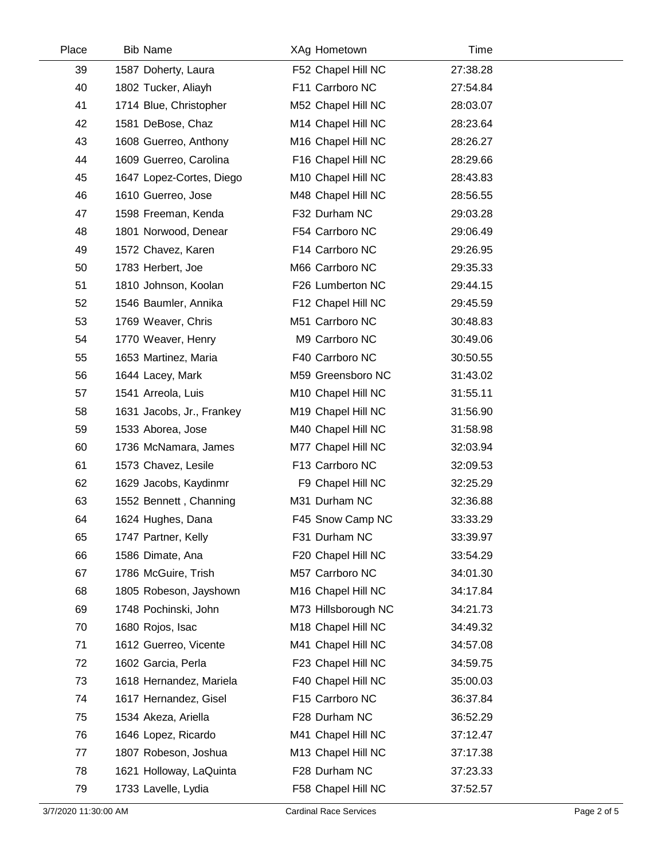| Place | <b>Bib Name</b>           | XAg Hometown        | Time     |  |
|-------|---------------------------|---------------------|----------|--|
| 39    | 1587 Doherty, Laura       | F52 Chapel Hill NC  | 27:38.28 |  |
| 40    | 1802 Tucker, Aliayh       | F11 Carrboro NC     | 27:54.84 |  |
| 41    | 1714 Blue, Christopher    | M52 Chapel Hill NC  | 28:03.07 |  |
| 42    | 1581 DeBose, Chaz         | M14 Chapel Hill NC  | 28:23.64 |  |
| 43    | 1608 Guerreo, Anthony     | M16 Chapel Hill NC  | 28:26.27 |  |
| 44    | 1609 Guerreo, Carolina    | F16 Chapel Hill NC  | 28:29.66 |  |
| 45    | 1647 Lopez-Cortes, Diego  | M10 Chapel Hill NC  | 28:43.83 |  |
| 46    | 1610 Guerreo, Jose        | M48 Chapel Hill NC  | 28:56.55 |  |
| 47    | 1598 Freeman, Kenda       | F32 Durham NC       | 29:03.28 |  |
| 48    | 1801 Norwood, Denear      | F54 Carrboro NC     | 29:06.49 |  |
| 49    | 1572 Chavez, Karen        | F14 Carrboro NC     | 29:26.95 |  |
| 50    | 1783 Herbert, Joe         | M66 Carrboro NC     | 29:35.33 |  |
| 51    | 1810 Johnson, Koolan      | F26 Lumberton NC    | 29:44.15 |  |
| 52    | 1546 Baumler, Annika      | F12 Chapel Hill NC  | 29:45.59 |  |
| 53    | 1769 Weaver, Chris        | M51 Carrboro NC     | 30:48.83 |  |
| 54    | 1770 Weaver, Henry        | M9 Carrboro NC      | 30:49.06 |  |
| 55    | 1653 Martinez, Maria      | F40 Carrboro NC     | 30:50.55 |  |
| 56    | 1644 Lacey, Mark          | M59 Greensboro NC   | 31:43.02 |  |
| 57    | 1541 Arreola, Luis        | M10 Chapel Hill NC  | 31:55.11 |  |
| 58    | 1631 Jacobs, Jr., Frankey | M19 Chapel Hill NC  | 31:56.90 |  |
| 59    | 1533 Aborea, Jose         | M40 Chapel Hill NC  | 31:58.98 |  |
| 60    | 1736 McNamara, James      | M77 Chapel Hill NC  | 32:03.94 |  |
| 61    | 1573 Chavez, Lesile       | F13 Carrboro NC     | 32:09.53 |  |
| 62    | 1629 Jacobs, Kaydinmr     | F9 Chapel Hill NC   | 32:25.29 |  |
| 63    | 1552 Bennett, Channing    | M31 Durham NC       | 32:36.88 |  |
| 64    | 1624 Hughes, Dana         | F45 Snow Camp NC    | 33:33.29 |  |
| 65    | 1747 Partner, Kelly       | F31 Durham NC       | 33:39.97 |  |
| 66    | 1586 Dimate, Ana          | F20 Chapel Hill NC  | 33:54.29 |  |
| 67    | 1786 McGuire, Trish       | M57 Carrboro NC     | 34:01.30 |  |
| 68    | 1805 Robeson, Jayshown    | M16 Chapel Hill NC  | 34:17.84 |  |
| 69    | 1748 Pochinski, John      | M73 Hillsborough NC | 34:21.73 |  |
| 70    | 1680 Rojos, Isac          | M18 Chapel Hill NC  | 34:49.32 |  |
| 71    | 1612 Guerreo, Vicente     | M41 Chapel Hill NC  | 34:57.08 |  |
| 72    | 1602 Garcia, Perla        | F23 Chapel Hill NC  | 34:59.75 |  |
| 73    | 1618 Hernandez, Mariela   | F40 Chapel Hill NC  | 35:00.03 |  |
| 74    | 1617 Hernandez, Gisel     | F15 Carrboro NC     | 36:37.84 |  |
| 75    | 1534 Akeza, Ariella       | F28 Durham NC       | 36:52.29 |  |
| 76    | 1646 Lopez, Ricardo       | M41 Chapel Hill NC  | 37:12.47 |  |
| 77    | 1807 Robeson, Joshua      | M13 Chapel Hill NC  | 37:17.38 |  |
| 78    | 1621 Holloway, LaQuinta   | F28 Durham NC       | 37:23.33 |  |
| 79    | 1733 Lavelle, Lydia       | F58 Chapel Hill NC  | 37:52.57 |  |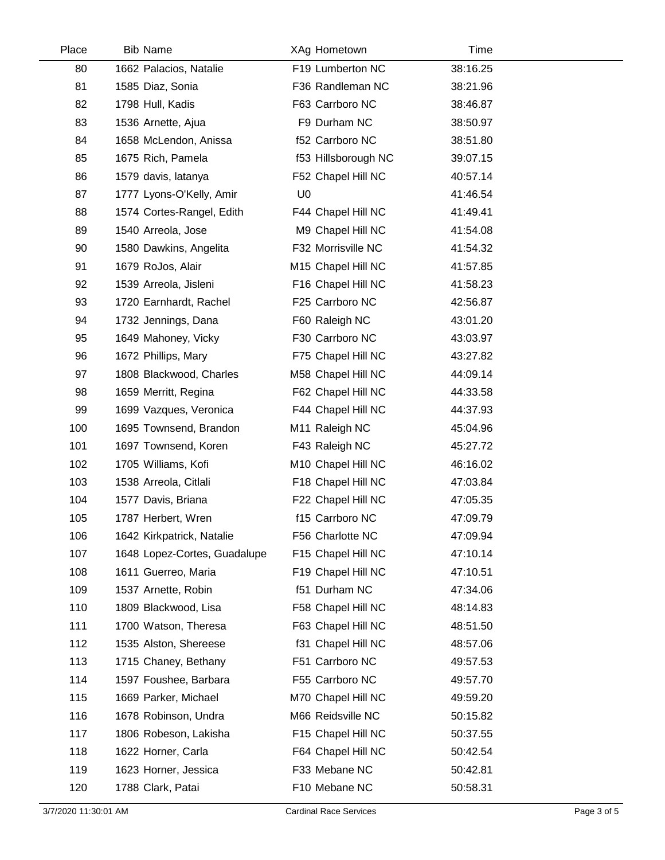| Place | <b>Bib Name</b>              | XAg Hometown        | Time     |  |
|-------|------------------------------|---------------------|----------|--|
| 80    | 1662 Palacios, Natalie       | F19 Lumberton NC    | 38:16.25 |  |
| 81    | 1585 Diaz, Sonia             | F36 Randleman NC    | 38:21.96 |  |
| 82    | 1798 Hull, Kadis             | F63 Carrboro NC     | 38:46.87 |  |
| 83    | 1536 Arnette, Ajua           | F9 Durham NC        | 38:50.97 |  |
| 84    | 1658 McLendon, Anissa        | f52 Carrboro NC     | 38:51.80 |  |
| 85    | 1675 Rich, Pamela            | f53 Hillsborough NC | 39:07.15 |  |
| 86    | 1579 davis, latanya          | F52 Chapel Hill NC  | 40:57.14 |  |
| 87    | 1777 Lyons-O'Kelly, Amir     | U <sub>0</sub>      | 41:46.54 |  |
| 88    | 1574 Cortes-Rangel, Edith    | F44 Chapel Hill NC  | 41:49.41 |  |
| 89    | 1540 Arreola, Jose           | M9 Chapel Hill NC   | 41:54.08 |  |
| 90    | 1580 Dawkins, Angelita       | F32 Morrisville NC  | 41:54.32 |  |
| 91    | 1679 RoJos, Alair            | M15 Chapel Hill NC  | 41:57.85 |  |
| 92    | 1539 Arreola, Jisleni        | F16 Chapel Hill NC  | 41:58.23 |  |
| 93    | 1720 Earnhardt, Rachel       | F25 Carrboro NC     | 42:56.87 |  |
| 94    | 1732 Jennings, Dana          | F60 Raleigh NC      | 43:01.20 |  |
| 95    | 1649 Mahoney, Vicky          | F30 Carrboro NC     | 43:03.97 |  |
| 96    | 1672 Phillips, Mary          | F75 Chapel Hill NC  | 43:27.82 |  |
| 97    | 1808 Blackwood, Charles      | M58 Chapel Hill NC  | 44:09.14 |  |
| 98    | 1659 Merritt, Regina         | F62 Chapel Hill NC  | 44:33.58 |  |
| 99    | 1699 Vazques, Veronica       | F44 Chapel Hill NC  | 44:37.93 |  |
| 100   | 1695 Townsend, Brandon       | M11 Raleigh NC      | 45:04.96 |  |
| 101   | 1697 Townsend, Koren         | F43 Raleigh NC      | 45:27.72 |  |
| 102   | 1705 Williams, Kofi          | M10 Chapel Hill NC  | 46:16.02 |  |
| 103   | 1538 Arreola, Citlali        | F18 Chapel Hill NC  | 47:03.84 |  |
| 104   | 1577 Davis, Briana           | F22 Chapel Hill NC  | 47:05.35 |  |
| 105   | 1787 Herbert, Wren           | f15 Carrboro NC     | 47:09.79 |  |
| 106   | 1642 Kirkpatrick, Natalie    | F56 Charlotte NC    | 47:09.94 |  |
| 107   | 1648 Lopez-Cortes, Guadalupe | F15 Chapel Hill NC  | 47:10.14 |  |
| 108   | 1611 Guerreo, Maria          | F19 Chapel Hill NC  | 47:10.51 |  |
| 109   | 1537 Arnette, Robin          | f51 Durham NC       | 47:34.06 |  |
| 110   | 1809 Blackwood, Lisa         | F58 Chapel Hill NC  | 48:14.83 |  |
| 111   | 1700 Watson, Theresa         | F63 Chapel Hill NC  | 48:51.50 |  |
| 112   | 1535 Alston, Shereese        | f31 Chapel Hill NC  | 48:57.06 |  |
| 113   | 1715 Chaney, Bethany         | F51 Carrboro NC     | 49:57.53 |  |
| 114   | 1597 Foushee, Barbara        | F55 Carrboro NC     | 49:57.70 |  |
| 115   | 1669 Parker, Michael         | M70 Chapel Hill NC  | 49:59.20 |  |
| 116   | 1678 Robinson, Undra         | M66 Reidsville NC   | 50:15.82 |  |
| 117   | 1806 Robeson, Lakisha        | F15 Chapel Hill NC  | 50:37.55 |  |
| 118   | 1622 Horner, Carla           | F64 Chapel Hill NC  | 50:42.54 |  |
| 119   | 1623 Horner, Jessica         | F33 Mebane NC       | 50:42.81 |  |
| 120   | 1788 Clark, Patai            | F10 Mebane NC       | 50:58.31 |  |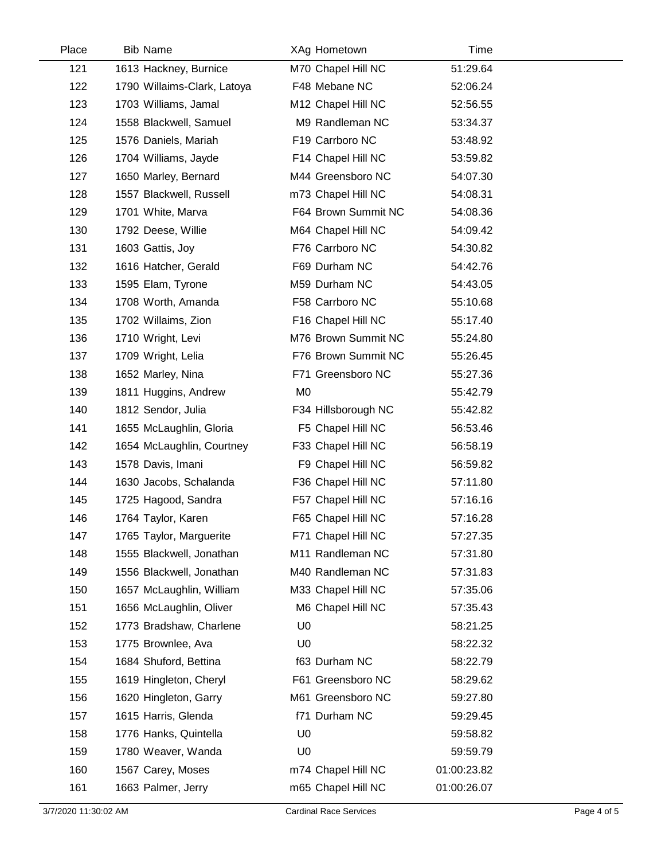| Place | <b>Bib Name</b>             | XAg Hometown        | Time        |  |
|-------|-----------------------------|---------------------|-------------|--|
| 121   | 1613 Hackney, Burnice       | M70 Chapel Hill NC  | 51:29.64    |  |
| 122   | 1790 Willaims-Clark, Latoya | F48 Mebane NC       | 52:06.24    |  |
| 123   | 1703 Williams, Jamal        | M12 Chapel Hill NC  | 52:56.55    |  |
| 124   | 1558 Blackwell, Samuel      | M9 Randleman NC     | 53:34.37    |  |
| 125   | 1576 Daniels, Mariah        | F19 Carrboro NC     | 53:48.92    |  |
| 126   | 1704 Williams, Jayde        | F14 Chapel Hill NC  | 53:59.82    |  |
| 127   | 1650 Marley, Bernard        | M44 Greensboro NC   | 54:07.30    |  |
| 128   | 1557 Blackwell, Russell     | m73 Chapel Hill NC  | 54:08.31    |  |
| 129   | 1701 White, Marva           | F64 Brown Summit NC | 54:08.36    |  |
| 130   | 1792 Deese, Willie          | M64 Chapel Hill NC  | 54:09.42    |  |
| 131   | 1603 Gattis, Joy            | F76 Carrboro NC     | 54:30.82    |  |
| 132   | 1616 Hatcher, Gerald        | F69 Durham NC       | 54:42.76    |  |
| 133   | 1595 Elam, Tyrone           | M59 Durham NC       | 54:43.05    |  |
| 134   | 1708 Worth, Amanda          | F58 Carrboro NC     | 55:10.68    |  |
| 135   | 1702 Willaims, Zion         | F16 Chapel Hill NC  | 55:17.40    |  |
| 136   | 1710 Wright, Levi           | M76 Brown Summit NC | 55:24.80    |  |
| 137   | 1709 Wright, Lelia          | F76 Brown Summit NC | 55:26.45    |  |
| 138   | 1652 Marley, Nina           | F71 Greensboro NC   | 55:27.36    |  |
| 139   | 1811 Huggins, Andrew        | M <sub>0</sub>      | 55:42.79    |  |
| 140   | 1812 Sendor, Julia          | F34 Hillsborough NC | 55:42.82    |  |
| 141   | 1655 McLaughlin, Gloria     | F5 Chapel Hill NC   | 56:53.46    |  |
| 142   | 1654 McLaughlin, Courtney   | F33 Chapel Hill NC  | 56:58.19    |  |
| 143   | 1578 Davis, Imani           | F9 Chapel Hill NC   | 56:59.82    |  |
| 144   | 1630 Jacobs, Schalanda      | F36 Chapel Hill NC  | 57:11.80    |  |
| 145   | 1725 Hagood, Sandra         | F57 Chapel Hill NC  | 57:16.16    |  |
| 146   | 1764 Taylor, Karen          | F65 Chapel Hill NC  | 57:16.28    |  |
| 147   | 1765 Taylor, Marguerite     | F71 Chapel Hill NC  | 57:27.35    |  |
| 148   | 1555 Blackwell, Jonathan    | M11 Randleman NC    | 57:31.80    |  |
| 149   | 1556 Blackwell, Jonathan    | M40 Randleman NC    | 57:31.83    |  |
| 150   | 1657 McLaughlin, William    | M33 Chapel Hill NC  | 57:35.06    |  |
| 151   | 1656 McLaughlin, Oliver     | M6 Chapel Hill NC   | 57:35.43    |  |
| 152   | 1773 Bradshaw, Charlene     | U <sub>0</sub>      | 58:21.25    |  |
| 153   | 1775 Brownlee, Ava          | U <sub>0</sub>      | 58:22.32    |  |
| 154   | 1684 Shuford, Bettina       | f63 Durham NC       | 58:22.79    |  |
| 155   | 1619 Hingleton, Cheryl      | F61 Greensboro NC   | 58:29.62    |  |
| 156   | 1620 Hingleton, Garry       | M61 Greensboro NC   | 59:27.80    |  |
| 157   | 1615 Harris, Glenda         | f71 Durham NC       | 59:29.45    |  |
| 158   | 1776 Hanks, Quintella       | U <sub>0</sub>      | 59:58.82    |  |
| 159   | 1780 Weaver, Wanda          | U <sub>0</sub>      | 59:59.79    |  |
| 160   | 1567 Carey, Moses           | m74 Chapel Hill NC  | 01:00:23.82 |  |
| 161   | 1663 Palmer, Jerry          | m65 Chapel Hill NC  | 01:00:26.07 |  |